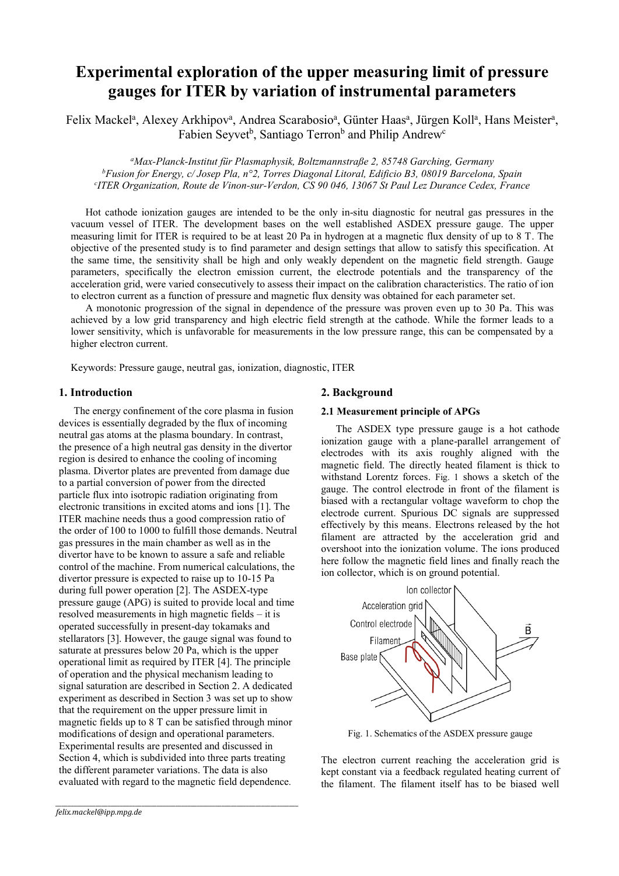# **Experimental exploration of the upper measuring limit of pressure gauges for ITER by variation of instrumental parameters**

Felix Mackel<sup>a</sup>, Alexey Arkhipov<sup>a</sup>, Andrea Scarabosio<sup>a</sup>, Günter Haas<sup>a</sup>, Jürgen Koll<sup>a</sup>, Hans Meister<sup>a</sup>, Fabien Seyvet<sup>b</sup>, Santiago Terron<sup>b</sup> and Philip Andrew<sup>c</sup>

*<sup>a</sup>Max-Planck-Institut für Plasmaphysik, Boltzmannstraße 2, 85748 Garching, Germany <sup>b</sup>Fusion for Energy, c/ Josep Pla, n°2, Torres Diagonal Litoral, Edificio B3, 08019 Barcelona, Spain c ITER Organization, Route de Vinon-sur-Verdon, CS 90 046, 13067 St Paul Lez Durance Cedex, France* 

Hot cathode ionization gauges are intended to be the only in-situ diagnostic for neutral gas pressures in the vacuum vessel of ITER. The development bases on the well established ASDEX pressure gauge. The upper measuring limit for ITER is required to be at least 20 Pa in hydrogen at a magnetic flux density of up to 8 T. The objective of the presented study is to find parameter and design settings that allow to satisfy this specification. At the same time, the sensitivity shall be high and only weakly dependent on the magnetic field strength. Gauge parameters, specifically the electron emission current, the electrode potentials and the transparency of the acceleration grid, were varied consecutively to assess their impact on the calibration characteristics. The ratio of ion to electron current as a function of pressure and magnetic flux density was obtained for each parameter set.

A monotonic progression of the signal in dependence of the pressure was proven even up to 30 Pa. This was achieved by a low grid transparency and high electric field strength at the cathode. While the former leads to a lower sensitivity, which is unfavorable for measurements in the low pressure range, this can be compensated by a higher electron current.

Keywords: Pressure gauge, neutral gas, ionization, diagnostic, ITER

# **1. Introduction**

The energy confinement of the core plasma in fusion devices is essentially degraded by the flux of incoming neutral gas atoms at the plasma boundary. In contrast, the presence of a high neutral gas density in the divertor region is desired to enhance the cooling of incoming plasma. Divertor plates are prevented from damage due to a partial conversion of power from the directed particle flux into isotropic radiation originating from electronic transitions in excited atoms and ions [1]. The ITER machine needs thus a good compression ratio of the order of 100 to 1000 to fulfill those demands. Neutral gas pressures in the main chamber as well as in the divertor have to be known to assure a safe and reliable control of the machine. From numerical calculations, the divertor pressure is expected to raise up to 10-15 Pa during full power operation [2]. The ASDEX-type pressure gauge (APG) is suited to provide local and time resolved measurements in high magnetic fields – it is operated successfully in present-day tokamaks and stellarators [3]. However, the gauge signal was found to saturate at pressures below 20 Pa, which is the upper operational limit as required by ITER [4]. The principle of operation and the physical mechanism leading to signal saturation are described in Section 2. A dedicated experiment as described in Section 3 was set up to show that the requirement on the upper pressure limit in magnetic fields up to 8 T can be satisfied through minor modifications of design and operational parameters. Experimental results are presented and discussed in Section 4, which is subdivided into three parts treating the different parameter variations. The data is also evaluated with regard to the magnetic field dependence*.*

*\_\_\_\_\_\_\_\_\_\_\_\_\_\_\_\_\_\_\_\_\_\_\_\_\_\_\_\_\_\_\_\_\_\_\_\_\_\_\_\_\_\_\_\_\_\_\_\_\_\_\_\_\_\_\_\_\_\_\_\_\_\_\_\_\_\_\_\_\_\_\_\_\_\_\_\_\_\_\_*

# **2. Background**

#### **2.1 Measurement principle of APGs**

The ASDEX type pressure gauge is a hot cathode ionization gauge with a plane-parallel arrangement of electrodes with its axis roughly aligned with the magnetic field. The directly heated filament is thick to withstand Lorentz forces. [Fig. 1](#page-0-0) shows a sketch of the gauge. The control electrode in front of the filament is biased with a rectangular voltage waveform to chop the electrode current. Spurious DC signals are suppressed effectively by this means. Electrons released by the hot filament are attracted by the acceleration grid and overshoot into the ionization volume. The ions produced here follow the magnetic field lines and finally reach the ion collector, which is on ground potential.



Fig. 1. Schematics of the ASDEX pressure gauge

<span id="page-0-0"></span>The electron current reaching the acceleration grid is kept constant via a feedback regulated heating current of the filament. The filament itself has to be biased well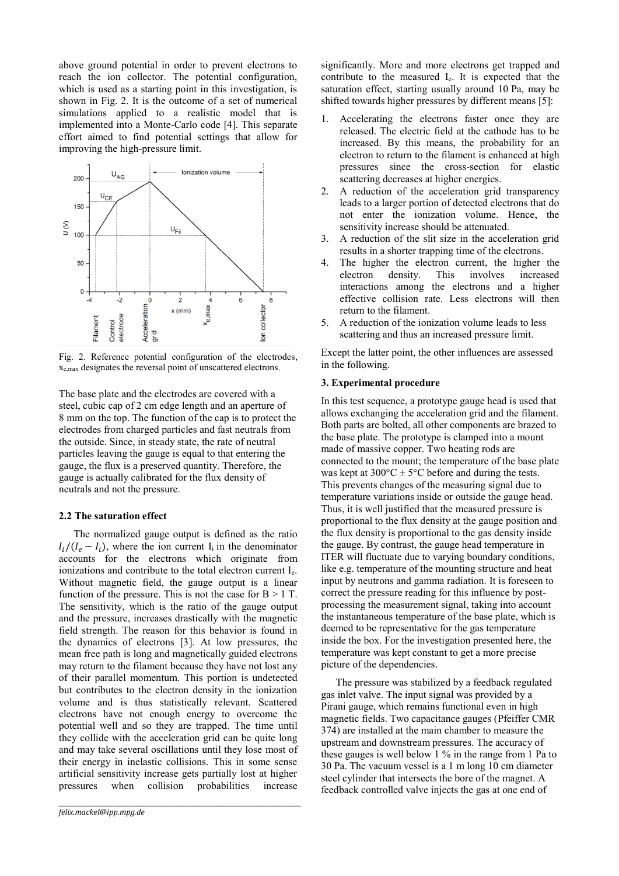above ground potential in order to prevent electrons to reach the ion collector. The potential configuration, which is used as a starting point in this investigation, is shown in [Fig. 2.](#page-1-0) It is the outcome of a set of numerical simulations applied to a realistic model that is implemented into a Monte-Carlo code [4]. This separate effort aimed to find potential settings that allow for improving the high-pressure limit.



<span id="page-1-0"></span>Fig. 2. Reference potential configuration of the electrodes, xe,max designates the reversal point of unscattered electrons.

The base plate and the electrodes are covered with a steel, cubic cap of 2 cm edge length and an aperture of 8 mm on the top. The function of the cap is to protect the electrodes from charged particles and fast neutrals from the outside. Since, in steady state, the rate of neutral particles leaving the gauge is equal to that entering the gauge, the flux is a preserved quantity. Therefore, the gauge is actually calibrated for the flux density of neutrals and not the pressure.

# **2.2 The saturation effect**

The normalized gauge output is defined as the ratio  $I_i/(I_e - I_i)$ , where the ion current I<sub>i</sub> in the denominator accounts for the electrons which originate from ionizations and contribute to the total electron current I<sub>e</sub>. Without magnetic field, the gauge output is a linear function of the pressure. This is not the case for  $B > 1$  T. The sensitivity, which is the ratio of the gauge output and the pressure, increases drastically with the magnetic field strength. The reason for this behavior is found in the dynamics of electrons [3]. At low pressures, the mean free path is long and magnetically guided electrons may return to the filament because they have not lost any of their parallel momentum. This portion is undetected but contributes to the electron density in the ionization volume and is thus statistically relevant. Scattered electrons have not enough energy to overcome the potential well and so they are trapped. The time until they collide with the acceleration grid can be quite long and may take several oscillations until they lose most of their energy in inelastic collisions. This in some sense artificial sensitivity increase gets partially lost at higher pressures when collision probabilities increase

*\_\_\_\_\_\_\_\_\_\_\_\_\_\_\_\_\_\_\_\_\_\_\_\_\_\_\_\_\_\_\_\_\_\_\_\_\_\_\_\_\_\_\_\_\_\_\_\_\_\_\_\_\_\_\_\_\_\_\_\_\_\_\_\_\_\_\_\_\_\_\_\_\_\_\_\_\_\_\_*

significantly. More and more electrons get trapped and contribute to the measured Ie. It is expected that the saturation effect, starting usually around 10 Pa, may be shifted towards higher pressures by different means [5]:

- 1. Accelerating the electrons faster once they are released. The electric field at the cathode has to be increased. By this means, the probability for an electron to return to the filament is enhanced at high pressures since the cross-section for elastic scattering decreases at higher energies.
- 2. A reduction of the acceleration grid transparency leads to a larger portion of detected electrons that do not enter the ionization volume. Hence, the sensitivity increase should be attenuated.
- A reduction of the slit size in the acceleration grid results in a shorter trapping time of the electrons.
- 4. The higher the electron current, the higher the electron density. This involves increased interactions among the electrons and a higher effective collision rate. Less electrons will then return to the filament.
- 5. A reduction of the ionization volume leads to less scattering and thus an increased pressure limit.

Except the latter point, the other influences are assessed in the following.

## **3. Experimental procedure**

In this test sequence, a prototype gauge head is used that allows exchanging the acceleration grid and the filament. Both parts are bolted, all other components are brazed to the base plate. The prototype is clamped into a mount made of massive copper. Two heating rods are connected to the mount; the temperature of the base plate was kept at  $300^{\circ}$ C  $\pm$  5°C before and during the tests. This prevents changes of the measuring signal due to temperature variations inside or outside the gauge head. Thus, it is well justified that the measured pressure is proportional to the flux density at the gauge position and the flux density is proportional to the gas density inside the gauge. By contrast, the gauge head temperature in ITER will fluctuate due to varying boundary conditions, like e.g. temperature of the mounting structure and heat input by neutrons and gamma radiation. It is foreseen to correct the pressure reading for this influence by postprocessing the measurement signal, taking into account the instantaneous temperature of the base plate, which is deemed to be representative for the gas temperature inside the box. For the investigation presented here, the temperature was kept constant to get a more precise picture of the dependencies.

The pressure was stabilized by a feedback regulated gas inlet valve. The input signal was provided by a Pirani gauge, which remains functional even in high magnetic fields. Two capacitance gauges (Pfeiffer CMR 374) are installed at the main chamber to measure the upstream and downstream pressures. The accuracy of these gauges is well below 1 % in the range from 1 Pa to 30 Pa. The vacuum vessel is a 1 m long 10 cm diameter steel cylinder that intersects the bore of the magnet. A feedback controlled valve injects the gas at one end of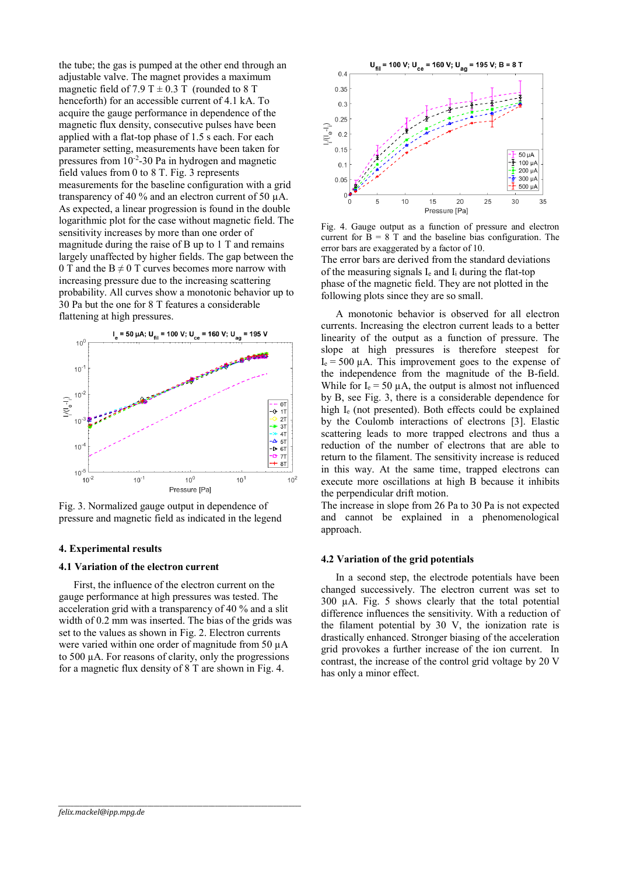the tube; the gas is pumped at the other end through an adjustable valve. The magnet provides a maximum magnetic field of 7.9 T  $\pm$  0.3 T (rounded to 8 T henceforth) for an accessible current of 4.1 kA. To acquire the gauge performance in dependence of the magnetic flux density, consecutive pulses have been applied with a flat-top phase of 1.5 s each. For each parameter setting, measurements have been taken for pressures from 10-2 -30 Pa in hydrogen and magnetic field values from 0 to 8 T. [Fig. 3](#page-2-0) represents measurements for the baseline configuration with a grid transparency of 40 % and an electron current of 50 µA. As expected, a linear progression is found in the double logarithmic plot for the case without magnetic field. The sensitivity increases by more than one order of magnitude during the raise of B up to 1 T and remains largely unaffected by higher fields. The gap between the 0 T and the  $B \neq 0$  T curves becomes more narrow with increasing pressure due to the increasing scattering probability. All curves show a monotonic behavior up to 30 Pa but the one for 8 T features a considerable flattening at high pressures.



<span id="page-2-0"></span>Fig. 3. Normalized gauge output in dependence of pressure and magnetic field as indicated in the legend

#### **4. Experimental results**

## **4.1 Variation of the electron current**

First, the influence of the electron current on the gauge performance at high pressures was tested. The acceleration grid with a transparency of 40 % and a slit width of 0.2 mm was inserted. The bias of the grids was set to the values as shown in [Fig. 2.](#page-1-0) Electron currents were varied within one order of magnitude from 50  $\mu$ A to 500 µA. For reasons of clarity, only the progressions for a magnetic flux density of 8 T are shown i[n Fig. 4.](#page-2-1)

*\_\_\_\_\_\_\_\_\_\_\_\_\_\_\_\_\_\_\_\_\_\_\_\_\_\_\_\_\_\_\_\_\_\_\_\_\_\_\_\_\_\_\_\_\_\_\_\_\_\_\_\_\_\_\_\_\_\_\_\_\_\_\_\_\_\_\_\_\_\_\_\_\_\_\_\_\_\_\_*



<span id="page-2-1"></span>Fig. 4. Gauge output as a function of pressure and electron current for  $\overline{B} = 8$  T and the baseline bias configuration. The error bars are exaggerated by a factor of 10. The error bars are derived from the standard deviations of the measuring signals  $I_e$  and  $I_i$  during the flat-top phase of the magnetic field. They are not plotted in the following plots since they are so small.

A monotonic behavior is observed for all electron currents. Increasing the electron current leads to a better linearity of the output as a function of pressure. The slope at high pressures is therefore steepest for  $I_e = 500 \mu A$ . This improvement goes to the expense of the independence from the magnitude of the B-field. While for  $I_e = 50 \mu A$ , the output is almost not influenced by B, see [Fig. 3,](#page-2-0) there is a considerable dependence for high I<sub>e</sub> (not presented). Both effects could be explained by the Coulomb interactions of electrons [3]. Elastic scattering leads to more trapped electrons and thus a reduction of the number of electrons that are able to return to the filament. The sensitivity increase is reduced in this way. At the same time, trapped electrons can execute more oscillations at high B because it inhibits the perpendicular drift motion.

The increase in slope from 26 Pa to 30 Pa is not expected and cannot be explained in a phenomenological approach.

#### **4.2 Variation of the grid potentials**

In a second step, the electrode potentials have been changed successively. The electron current was set to 300 µA. [Fig. 5](#page-3-0) shows clearly that the total potential difference influences the sensitivity. With a reduction of the filament potential by 30 V, the ionization rate is drastically enhanced. Stronger biasing of the acceleration grid provokes a further increase of the ion current. In contrast, the increase of the control grid voltage by 20 V has only a minor effect.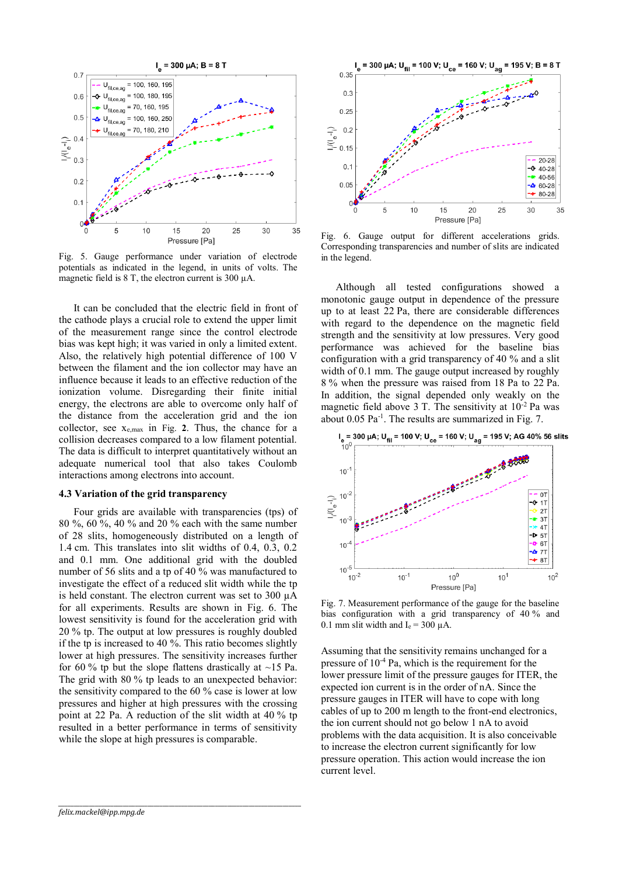

<span id="page-3-0"></span>Fig. 5. Gauge performance under variation of electrode potentials as indicated in the legend, in units of volts. The magnetic field is  $8$  T, the electron current is 300  $\mu$ A.

It can be concluded that the electric field in front of the cathode plays a crucial role to extend the upper limit of the measurement range since the control electrode bias was kept high; it was varied in only a limited extent. Also, the relatively high potential difference of 100 V between the filament and the ion collector may have an influence because it leads to an effective reduction of the ionization volume. Disregarding their finite initial energy, the electrons are able to overcome only half of the distance from the acceleration grid and the ion collector, see xe,max in [Fig.](#page-1-0) **2**. Thus, the chance for a collision decreases compared to a low filament potential. The data is difficult to interpret quantitatively without an adequate numerical tool that also takes Coulomb interactions among electrons into account.

## **4.3 Variation of the grid transparency**

Four grids are available with transparencies (tps) of 80 %, 60 %, 40 % and 20 % each with the same number of 28 slits, homogeneously distributed on a length of 1.4 cm. This translates into slit widths of 0.4, 0.3, 0.2 and 0.1 mm. One additional grid with the doubled number of 56 slits and a tp of 40 % was manufactured to investigate the effect of a reduced slit width while the tp is held constant. The electron current was set to 300 µA for all experiments. Results are shown in [Fig. 6.](#page-3-1) The lowest sensitivity is found for the acceleration grid with 20 % tp. The output at low pressures is roughly doubled if the tp is increased to 40 %. This ratio becomes slightly lower at high pressures. The sensitivity increases further for 60 % tp but the slope flattens drastically at  $\sim$ 15 Pa. The grid with 80 % tp leads to an unexpected behavior: the sensitivity compared to the 60 % case is lower at low pressures and higher at high pressures with the crossing point at 22 Pa. A reduction of the slit width at 40 % tp resulted in a better performance in terms of sensitivity while the slope at high pressures is comparable.

*\_\_\_\_\_\_\_\_\_\_\_\_\_\_\_\_\_\_\_\_\_\_\_\_\_\_\_\_\_\_\_\_\_\_\_\_\_\_\_\_\_\_\_\_\_\_\_\_\_\_\_\_\_\_\_\_\_\_\_\_\_\_\_\_\_\_\_\_\_\_\_\_\_\_\_\_\_\_\_*



<span id="page-3-1"></span>Fig. 6. Gauge output for different accelerations grids. Corresponding transparencies and number of slits are indicated in the legend.

Although all tested configurations showed a monotonic gauge output in dependence of the pressure up to at least 22 Pa, there are considerable differences with regard to the dependence on the magnetic field strength and the sensitivity at low pressures. Very good performance was achieved for the baseline bias configuration with a grid transparency of 40 % and a slit width of 0.1 mm. The gauge output increased by roughly 8 % when the pressure was raised from 18 Pa to 22 Pa. In addition, the signal depended only weakly on the magnetic field above  $3$  T. The sensitivity at  $10^{-2}$  Pa was about  $0.05$   $Pa^{-1}$ . The results are summarized in [Fig. 7.](#page-3-2)



<span id="page-3-2"></span>Fig. 7. Measurement performance of the gauge for the baseline bias configuration with a grid transparency of 40 % and 0.1 mm slit width and  $I_e = 300 \mu A$ .

Assuming that the sensitivity remains unchanged for a pressure of  $10^{-4}$  Pa, which is the requirement for the lower pressure limit of the pressure gauges for ITER, the expected ion current is in the order of nA. Since the pressure gauges in ITER will have to cope with long cables of up to 200 m length to the front-end electronics, the ion current should not go below 1 nA to avoid problems with the data acquisition. It is also conceivable to increase the electron current significantly for low pressure operation. This action would increase the ion current level.